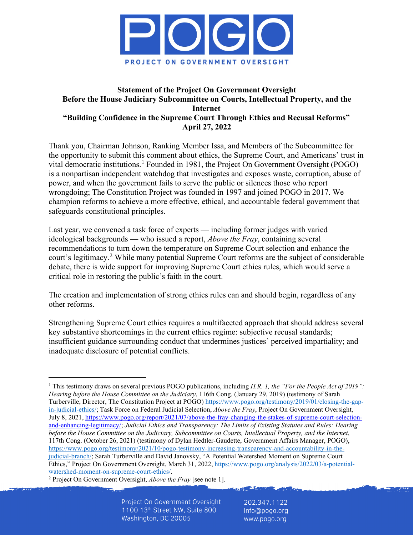

# **Statement of the Project On Government Oversight Before the House Judiciary Subcommittee on Courts, Intellectual Property, and the Internet "Building Confidence in the Supreme Court Through Ethics and Recusal Reforms" April 27, 2022**

Thank you, Chairman Johnson, Ranking Member Issa, and Members of the Subcommittee for the opportunity to submit this comment about ethics, the Supreme Court, and Americans' trust in vital democratic institutions.<sup>[1](#page-0-0)</sup> Founded in 1981, the Project On Government Oversight (POGO) is a nonpartisan independent watchdog that investigates and exposes waste, corruption, abuse of power, and when the government fails to serve the public or silences those who report wrongdoing; The Constitution Project was founded in 1997 and joined POGO in 2017. We champion reforms to achieve a more effective, ethical, and accountable federal government that safeguards constitutional principles.

Last year, we convened a task force of experts — including former judges with varied ideological backgrounds — who issued a report, *Above the Fray*, containing several recommendations to turn down the temperature on Supreme Court selection and enhance the court's legitimacy.[2](#page-0-1) While many potential Supreme Court reforms are the subject of considerable debate, there is wide support for improving Supreme Court ethics rules, which would serve a critical role in restoring the public's faith in the court.

The creation and implementation of strong ethics rules can and should begin, regardless of any other reforms.

Strengthening Supreme Court ethics requires a multifaceted approach that should address several key substantive shortcomings in the current ethics regime: subjective recusal standards; insufficient guidance surrounding conduct that undermines justices' perceived impartiality; and inadequate disclosure of potential conflicts.

<span id="page-0-1"></span><sup>2</sup> Project On Government Oversight, *Above the Fray* [see note 1].

Project On Government Oversight 1100 13th Street NW, Suite 800 Washington, DC 20005

202.347.1122 info@pogo.org www.pogo.org

<span id="page-0-0"></span><sup>&</sup>lt;sup>1</sup> This testimony draws on several previous POGO publications, including *H.R. 1, the "For the People Act of 2019"*: *Hearing before the House Committee on the Judiciary*, 116th Cong. (January 29, 2019) (testimony of Sarah Turberville, Director, The Constitution Project at POGO) [https://www.pogo.org/testimony/2019/01/closing-the-gap](https://www.pogo.org/testimony/2019/01/closing-the-gap-in-judicial-ethics/)[in-judicial-ethics/;](https://www.pogo.org/testimony/2019/01/closing-the-gap-in-judicial-ethics/) Task Force on Federal Judicial Selection, *Above the Fray*, Project On Government Oversight, July 8, 2021, [https://www.pogo.org/report/2021/07/above-the-fray-changing-the-stakes-of-supreme-court-selection](https://www.pogo.org/report/2021/07/above-the-fray-changing-the-stakes-of-supreme-court-selection-and-enhancing-legitimacy/)[and-enhancing-legitimacy/;](https://www.pogo.org/report/2021/07/above-the-fray-changing-the-stakes-of-supreme-court-selection-and-enhancing-legitimacy/) *Judicial Ethics and Transparency: The Limits of Existing Statutes and Rules: Hearing before the House Committee on the Judiciary, Subcommittee on Courts, Intellectual Property, and the Internet*, 117th Cong. (October 26, 2021) (testimony of Dylan Hedtler-Gaudette, Government Affairs Manager, POGO), [https://www.pogo.org/testimony/2021/10/pogo-testimony-increasing-transparency-and-accountability-in-the](https://www.pogo.org/testimony/2021/10/pogo-testimony-increasing-transparency-and-accountability-in-the-judicial-branch/)[judicial-branch/;](https://www.pogo.org/testimony/2021/10/pogo-testimony-increasing-transparency-and-accountability-in-the-judicial-branch/) Sarah Turberville and David Janovsky, "A Potential Watershed Moment on Supreme Court Ethics," Project On Government Oversight, March 31, 2022[, https://www.pogo.org/analysis/2022/03/a-potential](https://www.pogo.org/analysis/2022/03/a-potential-watershed-moment-on-supreme-court-ethics/)[watershed-moment-on-supreme-court-ethics/.](https://www.pogo.org/analysis/2022/03/a-potential-watershed-moment-on-supreme-court-ethics/)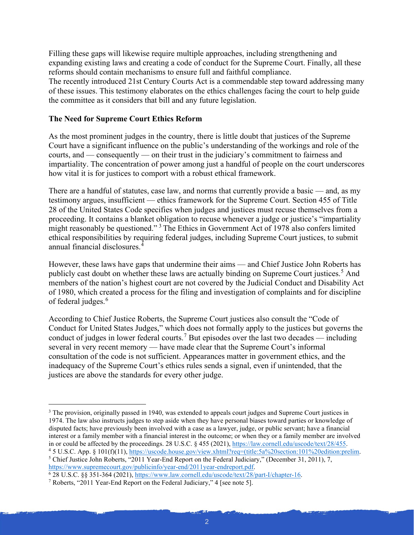Filling these gaps will likewise require multiple approaches, including strengthening and expanding existing laws and creating a code of conduct for the Supreme Court. Finally, all these reforms should contain mechanisms to ensure full and faithful compliance.

The recently introduced 21st Century Courts Act is a commendable step toward addressing many of these issues. This testimony elaborates on the ethics challenges facing the court to help guide the committee as it considers that bill and any future legislation.

## **The Need for Supreme Court Ethics Reform**

As the most prominent judges in the country, there is little doubt that justices of the Supreme Court have a significant influence on the public's understanding of the workings and role of the courts, and — consequently — on their trust in the judiciary's commitment to fairness and impartiality. The concentration of power among just a handful of people on the court underscores how vital it is for justices to comport with a robust ethical framework.

There are a handful of statutes, case law, and norms that currently provide a basic — and, as my testimony argues, insufficient — ethics framework for the Supreme Court. Section 455 of Title 28 of the United States Code specifies when judges and justices must recuse themselves from a proceeding. It contains a blanket obligation to recuse whenever a judge or justice's "impartiality might reasonably be questioned."<sup>[3](#page-1-0)</sup> The Ethics in Government Act of 1978 also confers limited ethical responsibilities by requiring federal judges, including Supreme Court justices, to submit annual financial disclosures.[4](#page-1-1)

However, these laws have gaps that undermine their aims — and Chief Justice John Roberts has publicly cast doubt on whether these laws are actually binding on Supreme Court justices.<sup>[5](#page-1-2)</sup> And members of the nation's highest court are not covered by the Judicial Conduct and Disability Act of 1980, which created a process for the filing and investigation of complaints and for discipline of federal judges.<sup>[6](#page-1-3)</sup>

According to Chief Justice Roberts, the Supreme Court justices also consult the "Code of Conduct for United States Judges," which does not formally apply to the justices but governs the conduct of judges in lower federal courts.[7](#page-1-4) But episodes over the last two decades — including several in very recent memory — have made clear that the Supreme Court's informal consultation of the code is not sufficient. Appearances matter in government ethics, and the inadequacy of the Supreme Court's ethics rules sends a signal, even if unintended, that the justices are above the standards for every other judge.

<span id="page-1-0"></span><sup>&</sup>lt;sup>3</sup> The provision, originally passed in 1940, was extended to appeals court judges and Supreme Court justices in 1974. The law also instructs judges to step aside when they have personal biases toward parties or knowledge of disputed facts; have previously been involved with a case as a lawyer, judge, or public servant; have a financial interest or a family member with a financial interest in the outcome; or when they or a family member are involved in or could be affected by the proceedings. 28 U.S.C. § 455 (2021)[, https://law.cornell.edu/uscode/text/28/455.](https://law.cornell.edu/uscode/text/28/455) <sup>4</sup> 5 U.S.C. App. § 101(f)(11), [https://uscode.house.gov/view.xhtml?req=\(title:5a%20section:101%20edition:prelim.](https://uscode.house.gov/view.xhtml?req=(title:5a%20section:101%20edition:prelim)

<span id="page-1-2"></span><span id="page-1-1"></span><sup>5</sup> Chief Justice John Roberts, "2011 Year-End Report on the Federal Judiciary," (December 31, 2011), 7, [https://www.supremecourt.gov/publicinfo/year-end/2011year-endreport.pdf.](https://www.supremecourt.gov/publicinfo/year-end/2011year-endreport.pdf)

<span id="page-1-3"></span><sup>6</sup> 28 U.S.C. §§ 351-364 (2021)[, https://www.law.cornell.edu/uscode/text/28/part-I/chapter-16.](https://www.law.cornell.edu/uscode/text/28/part-I/chapter-16)

<span id="page-1-4"></span><sup>7</sup> Roberts, "2011 Year-End Report on the Federal Judiciary," 4 [see note 5].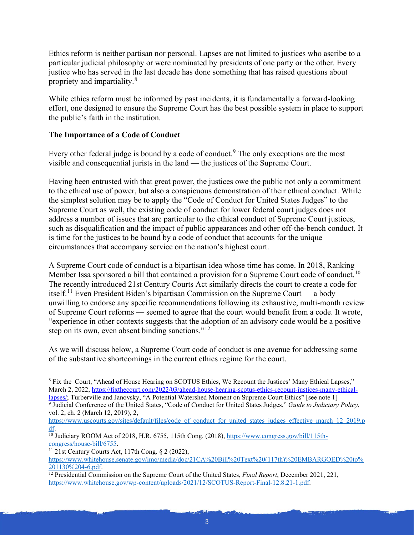Ethics reform is neither partisan nor personal. Lapses are not limited to justices who ascribe to a particular judicial philosophy or were nominated by presidents of one party or the other. Every justice who has served in the last decade has done something that has raised questions about propriety and impartiality.[8](#page-2-0)

While ethics reform must be informed by past incidents, it is fundamentally a forward-looking effort, one designed to ensure the Supreme Court has the best possible system in place to support the public's faith in the institution.

# **The Importance of a Code of Conduct**

Every other federal judge is bound by a code of conduct.<sup>[9](#page-2-1)</sup> The only exceptions are the most visible and consequential jurists in the land — the justices of the Supreme Court.

Having been entrusted with that great power, the justices owe the public not only a commitment to the ethical use of power, but also a conspicuous demonstration of their ethical conduct. While the simplest solution may be to apply the "Code of Conduct for United States Judges" to the Supreme Court as well, the existing code of conduct for lower federal court judges does not address a number of issues that are particular to the ethical conduct of Supreme Court justices, such as disqualification and the impact of public appearances and other off-the-bench conduct. It is time for the justices to be bound by a code of conduct that accounts for the unique circumstances that accompany service on the nation's highest court.

A Supreme Court code of conduct is a bipartisan idea whose time has come. In 2018, Ranking Member Issa sponsored a bill that contained a provision for a Supreme Court code of conduct.<sup>[10](#page-2-2)</sup> The recently introduced 21st Century Courts Act similarly directs the court to create a code for itself.<sup>[11](#page-2-3)</sup> Even President Biden's bipartisan Commission on the Supreme Court — a body unwilling to endorse any specific recommendations following its exhaustive, multi-month review of Supreme Court reforms — seemed to agree that the court would benefit from a code. It wrote, "experience in other contexts suggests that the adoption of an advisory code would be a positive step on its own, even absent binding sanctions."<sup>[12](#page-2-4)</sup>

As we will discuss below, a Supreme Court code of conduct is one avenue for addressing some of the substantive shortcomings in the current ethics regime for the court.

<span id="page-2-0"></span><sup>&</sup>lt;sup>8</sup> Fix the Court, "Ahead of House Hearing on SCOTUS Ethics, We Recount the Justices' Many Ethical Lapses," March 2, 2022[, https://fixthecourt.com/2022/03/ahead-house-hearing-scotus-ethics-recount-justices-many-ethical](https://fixthecourt.com/2022/03/ahead-house-hearing-scotus-ethics-recount-justices-many-ethical-lapses/)[lapses/;](https://fixthecourt.com/2022/03/ahead-house-hearing-scotus-ethics-recount-justices-many-ethical-lapses/) Turberville and Janovsky, "A Potential Watershed Moment on Supreme Court Ethics" [see note 1]

<span id="page-2-1"></span><sup>9</sup> Judicial Conference of the United States, "Code of Conduct for United States Judges," *Guide to Judiciary Policy*, vol. 2, ch. 2 (March 12, 2019), 2,

[https://www.uscourts.gov/sites/default/files/code\\_of\\_conduct\\_for\\_united\\_states\\_judges\\_effective\\_march\\_12\\_2019.p](https://www.uscourts.gov/sites/default/files/code_of_conduct_for_united_states_judges_effective_march_12_2019.pdf) [df.](https://www.uscourts.gov/sites/default/files/code_of_conduct_for_united_states_judges_effective_march_12_2019.pdf)

<span id="page-2-2"></span><sup>10</sup> Judiciary ROOM Act of 2018, H.R. 6755, 115th Cong. (2018), [https://www.congress.gov/bill/115th](https://www.congress.gov/bill/115th-congress/house-bill/6755)[congress/house-bill/6755.](https://www.congress.gov/bill/115th-congress/house-bill/6755)

<span id="page-2-3"></span> $11$  21st Century Courts Act, 117th Cong. § 2 (2022),

[https://www.whitehouse.senate.gov/imo/media/doc/21CA%20Bill%20Text%20\(117th\)%20EMBARGOED%20to%](https://www.whitehouse.senate.gov/imo/media/doc/21CA%20Bill%20Text%20(117th)%20EMBARGOED%20to%201130%204-6.pdf) [201130%204-6.pdf.](https://www.whitehouse.senate.gov/imo/media/doc/21CA%20Bill%20Text%20(117th)%20EMBARGOED%20to%201130%204-6.pdf)

<span id="page-2-4"></span><sup>&</sup>lt;sup>12</sup> Presidential Commission on the Supreme Court of the United States, *Final Report*, December 2021, 221, [https://www.whitehouse.gov/wp-content/uploads/2021/12/SCOTUS-Report-Final-12.8.21-1.pdf.](https://www.whitehouse.gov/wp-content/uploads/2021/12/SCOTUS-Report-Final-12.8.21-1.pdf)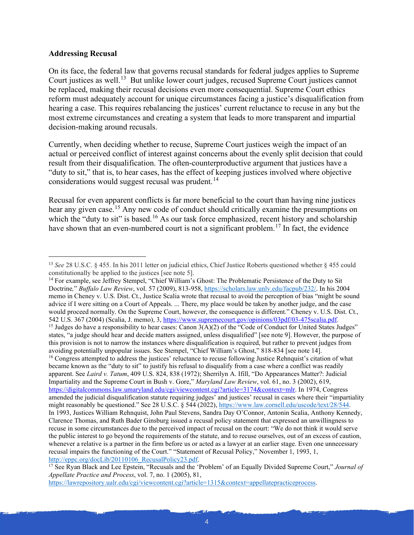#### **Addressing Recusal**

On its face, the federal law that governs recusal standards for federal judges applies to Supreme Court justices as well.<sup>13</sup> But unlike lower court judges, recused Supreme Court justices cannot be replaced, making their recusal decisions even more consequential. Supreme Court ethics reform must adequately account for unique circumstances facing a justice's disqualification from hearing a case. This requires rebalancing the justices' current reluctance to recuse in any but the most extreme circumstances and creating a system that leads to more transparent and impartial decision-making around recusals.

Currently, when deciding whether to recuse, Supreme Court justices weigh the impact of an actual or perceived conflict of interest against concerns about the evenly split decision that could result from their disqualification. The often-counterproductive argument that justices have a "duty to sit," that is, to hear cases, has the effect of keeping justices involved where objective considerations would suggest recusal was prudent.<sup>[14](#page-3-1)</sup>

Recusal for even apparent conflicts is far more beneficial to the court than having nine justices hear any given case.<sup>[15](#page-3-2)</sup> Any new code of conduct should critically examine the presumptions on which the "duty to sit" is based.<sup>[16](#page-3-3)</sup> As our task force emphasized, recent history and scholarship have shown that an even-numbered court is not a significant problem.<sup>[17](#page-3-4)</sup> In fact, the evidence

<span id="page-3-3"></span><span id="page-3-2"></span><span id="page-3-1"></span><sup>14</sup> For example, see Jeffrey Stempel, "Chief William's Ghost: The Problematic Persistence of the Duty to Sit Doctrine*,*" *Buffalo Law Review*, vol. 57 (2009), 813-958, [https://scholars.law.unlv.edu/facpub/232/.](https://scholars.law.unlv.edu/facpub/232/) In his 2004 memo in Cheney v. U.S. Dist. Ct., Justice Scalia wrote that recusal to avoid the perception of bias "might be sound advice if I were sitting on a Court of Appeals. ... There, my place would be taken by another judge, and the case would proceed normally. On the Supreme Court, however, the consequence is different." Cheney v. U.S. Dist. Ct., 542 U.S. 367 (2004) (Scalia, J. memo), 3[, https://www.supremecourt.gov/opinions/03pdf/03-475scalia.pdf.](https://www.supremecourt.gov/opinions/03pdf/03-475scalia.pdf) 15 Judges do have a responsibility to hear cases: Canon 3(A)(2) of the "Code of Conduct for United States Judges" states, "a judge should hear and decide matters assigned, unless disqualified" [see note 9]. However, the purpose of this provision is not to narrow the instances where disqualification is required, but rather to prevent judges from avoiding potentially unpopular issues. See Stempel, "Chief William's Ghost," 818-834 [see note 14]. <sup>16</sup> Congress attempted to address the justices' reluctance to recuse following Justice Rehnquist's citation of what became known as the "duty to sit" to justify his refusal to disqualify from a case where a conflict was readily apparent. See *Laird v. Tatum*, 409 U.S. 824, 838 (1972); Sherrilyn A. Ifill, "Do Appearances Matter?: Judicial Impartiality and the Supreme Court in Bush v. Gore," *Maryland Law Review*, vol. 61, no. 3 (2002), 619, [https://digitalcommons.law.umaryland.edu/cgi/viewcontent.cgi?article=3174&context=mlr.](https://digitalcommons.law.umaryland.edu/cgi/viewcontent.cgi?article=3174&context=mlr) In 1974, Congress amended the judicial disqualification statute requiring judges' and justices' recusal in cases where their "impartiality might reasonably be questioned." See 28 U.S.C. § 544 (2022), [https://www.law.cornell.edu/uscode/text/28/544.](https://www.law.cornell.edu/uscode/text/28/544) In 1993, Justices William Rehnquist, John Paul Stevens, Sandra Day O'Connor, Antonin Scalia, Anthony Kennedy, Clarence Thomas, and Ruth Bader Ginsburg issued a recusal policy statement that expressed an unwillingness to recuse in some circumstances due to the perceived impact of recusal on the court: "We do not think it would serve the public interest to go beyond the requirements of the statute, and to recuse ourselves, out of an excess of caution, whenever a relative is a partner in the firm before us or acted as a lawyer at an earlier stage. Even one unnecessary recusal impairs the functioning of the Court." "Statement of Recusal Policy," November 1, 1993, 1, [http://eppc.org/docLib/20110106\\_RecusalPolicy23.pdf.](http://eppc.org/docLib/20110106_RecusalPolicy23.pdf)

[https://lawrepository.ualr.edu/cgi/viewcontent.cgi?article=1315&context=appellatepracticeprocess.](https://lawrepository.ualr.edu/cgi/viewcontent.cgi?article=1315&context=appellatepracticeprocess)

<span id="page-3-0"></span><sup>&</sup>lt;sup>13</sup> See 28 U.S.C. § 455. In his 2011 letter on judicial ethics, Chief Justice Roberts questioned whether § 455 could constitutionally be applied to the justices [see note 5].

<span id="page-3-4"></span><sup>17</sup> See Ryan Black and Lee Epstein, "Recusals and the 'Problem' of an Equally Divided Supreme Court," *Journal of Appellate Practice and Process*, vol. 7, no. 1 (2005), 81,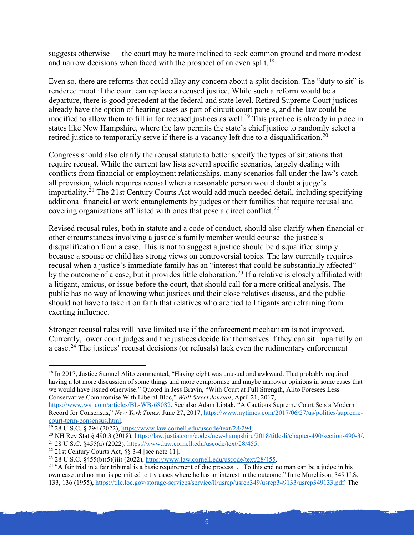suggests otherwise — the court may be more inclined to seek common ground and more modest and narrow decisions when faced with the prospect of an even split.<sup>[18](#page-4-0)</sup>

Even so, there are reforms that could allay any concern about a split decision. The "duty to sit" is rendered moot if the court can replace a recused justice. While such a reform would be a departure, there is good precedent at the federal and state level. Retired Supreme Court justices already have the option of hearing cases as part of circuit court panels, and the law could be modified to allow them to fill in for recused justices as well.<sup>[19](#page-4-1)</sup> This practice is already in place in states like New Hampshire, where the law permits the state's chief justice to randomly select a retired justice to temporarily serve if there is a vacancy left due to a disqualification.<sup>20</sup>

Congress should also clarify the recusal statute to better specify the types of situations that require recusal. While the current law lists several specific scenarios, largely dealing with conflicts from financial or employment relationships, many scenarios fall under the law's catchall provision, which requires recusal when a reasonable person would doubt a judge's impartiality.<sup>[21](#page-4-3)</sup> The 21st Century Courts Act would add much-needed detail, including specifying additional financial or work entanglements by judges or their families that require recusal and covering organizations affiliated with ones that pose a direct conflict.<sup>[22](#page-4-4)</sup>

Revised recusal rules, both in statute and a code of conduct, should also clarify when financial or other circumstances involving a justice's family member would counsel the justice's disqualification from a case. This is not to suggest a justice should be disqualified simply because a spouse or child has strong views on controversial topics. The law currently requires recusal when a justice's immediate family has an "interest that could be substantially affected" by the outcome of a case, but it provides little elaboration.<sup>[23](#page-4-5)</sup> If a relative is closely affiliated with a litigant, amicus, or issue before the court, that should call for a more critical analysis. The public has no way of knowing what justices and their close relatives discuss, and the public should not have to take it on faith that relatives who are tied to litigants are refraining from exerting influence.

Stronger recusal rules will have limited use if the enforcement mechanism is not improved. Currently, lower court judges and the justices decide for themselves if they can sit impartially on a case.<sup>[24](#page-4-6)</sup> The justices' recusal decisions (or refusals) lack even the rudimentary enforcement

<span id="page-4-3"></span><sup>21</sup> 28 U.S.C. §455(a) (2022), [https://www.law.cornell.edu/uscode/text/28/455.](https://www.law.cornell.edu/uscode/text/28/455)

<span id="page-4-0"></span><sup>&</sup>lt;sup>18</sup> In 2017, Justice Samuel Alito commented, "Having eight was unusual and awkward. That probably required having a lot more discussion of some things and more compromise and maybe narrower opinions in some cases that we would have issued otherwise." Quoted in Jess Bravin, "With Court at Full Strength, Alito Foresees Less Conservative Compromise With Liberal Bloc," *Wall Street Journal*, April 21, 2017,

[https://www.wsj.com/articles/BL-WB-68082.](https://www.wsj.com/articles/BL-WB-68082) See also Adam Liptak, "A Cautious Supreme Court Sets a Modern Record for Consensus," *New York Times*, June 27, 2017, [https://www.nytimes.com/2017/06/27/us/politics/supreme](https://www.nytimes.com/2017/06/27/us/politics/supreme-court-term-consensus.html)[court-term-consensus.html.](https://www.nytimes.com/2017/06/27/us/politics/supreme-court-term-consensus.html)

<span id="page-4-1"></span><sup>&</sup>lt;sup>19</sup> 28 U.S.C. § 294 (2022), [https://www.law.cornell.edu/uscode/text/28/294.](https://www.law.cornell.edu/uscode/text/28/294)

<span id="page-4-2"></span><sup>&</sup>lt;sup>20</sup> NH Rev Stat § 490:3 (2018), [https://law.justia.com/codes/new-hampshire/2018/title-li/chapter-490/section-490-3/.](https://law.justia.com/codes/new-hampshire/2018/title-li/chapter-490/section-490-3/)

<span id="page-4-4"></span><sup>&</sup>lt;sup>22</sup> 21st Century Courts Act,  $\S$ § 3-4 [see note 11].

<span id="page-4-5"></span><sup>23</sup> 28 U.S.C. §455(b)(5)(iii) (2022), [https://www.law.cornell.edu/uscode/text/28/455.](https://www.law.cornell.edu/uscode/text/28/455)

<span id="page-4-6"></span><sup>&</sup>lt;sup>24</sup> "A fair trial in a fair tribunal is a basic requirement of due process. ... To this end no man can be a judge in his own case and no man is permitted to try cases where he has an interest in the outcome." In re Murchison, 349 U.S. 133, 136 (1955), [https://tile.loc.gov/storage-services/service/ll/usrep/usrep349/usrep349133/usrep349133.pdf.](https://tile.loc.gov/storage-services/service/ll/usrep/usrep349/usrep349133/usrep349133.pdf) The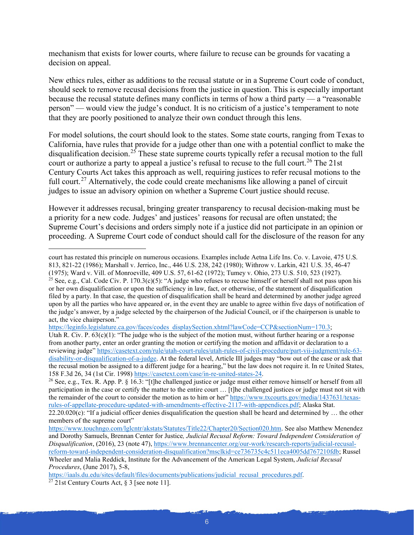mechanism that exists for lower courts, where failure to recuse can be grounds for vacating a decision on appeal.

New ethics rules, either as additions to the recusal statute or in a Supreme Court code of conduct, should seek to remove recusal decisions from the justice in question. This is especially important because the recusal statute defines many conflicts in terms of how a third party — a "reasonable person" — would view the judge's conduct. It is no criticism of a justice's temperament to note that they are poorly positioned to analyze their own conduct through this lens.

For model solutions, the court should look to the states. Some state courts, ranging from Texas to California, have rules that provide for a judge other than one with a potential conflict to make the disqualification decision.<sup>[25](#page-5-0)</sup> These state supreme courts typically refer a recusal motion to the full court or authorize a party to appeal a justice's refusal to recuse to the full court.<sup>[26](#page-5-1)</sup> The 21st Century Courts Act takes this approach as well, requiring justices to refer recusal motions to the full court.<sup>[27](#page-5-2)</sup> Alternatively, the code could create mechanisms like allowing a panel of circuit judges to issue an advisory opinion on whether a Supreme Court justice should recuse.

However it addresses recusal, bringing greater transparency to recusal decision-making must be a priority for a new code. Judges' and justices' reasons for recusal are often unstated; the Supreme Court's decisions and orders simply note if a justice did not participate in an opinion or proceeding. A Supreme Court code of conduct should call for the disclosure of the reason for any

[https://leginfo.legislature.ca.gov/faces/codes\\_displaySection.xhtml?lawCode=CCP&sectionNum=170.3;](https://leginfo.legislature.ca.gov/faces/codes_displaySection.xhtml?lawCode=CCP§ionNum=170.3)

court has restated this principle on numerous occasions. Examples include Aetna Life Ins. Co. v. Lavoie, 475 U.S. 813, 821-22 (1986); Marshall v. Jerrico, Inc., 446 U.S. 238, 242 (1980); Withrow v. Larkin, 421 U.S. 35, 46-47

<sup>(1975);</sup> Ward v. Vill. of Monroeville, 409 U.S. 57, 61-62 (1972); Tumey v. Ohio, 273 U.S. 510, 523 (1927).

<span id="page-5-0"></span><sup>&</sup>lt;sup>25</sup> See, e.g., Cal. Code Civ. P. 170.3(c)(5): "A judge who refuses to recuse himself or herself shall not pass upon his or her own disqualification or upon the sufficiency in law, fact, or otherwise, of the statement of disqualification filed by a party. In that case, the question of disqualification shall be heard and determined by another judge agreed upon by all the parties who have appeared or, in the event they are unable to agree within five days of notification of the judge's answer, by a judge selected by the chairperson of the Judicial Council, or if the chairperson is unable to act, the vice chairperson."

Utah R. Civ. P.  $63(c)(1)$ : "The judge who is the subject of the motion must, without further hearing or a response from another party, enter an order granting the motion or certifying the motion and affidavit or declaration to a reviewing judge[" https://casetext.com/rule/utah-court-rules/utah-rules-of-civil-procedure/part-vii-judgment/rule-63](https://casetext.com/rule/utah-court-rules/utah-rules-of-civil-procedure/part-vii-judgment/rule-63-disability-or-disqualification-of-a-judge) [disability-or-disqualification-of-a-judge.](https://casetext.com/rule/utah-court-rules/utah-rules-of-civil-procedure/part-vii-judgment/rule-63-disability-or-disqualification-of-a-judge) At the federal level, Article III judges may "bow out of the case or ask that the recusal motion be assigned to a different judge for a hearing," but the law does not require it. In re United States, 158 F.3d 26, 34 (1st Cir. 1998[\) https://casetext.com/case/in-re-united-states-24.](https://casetext.com/case/in-re-united-states-24)

<span id="page-5-1"></span><sup>&</sup>lt;sup>26</sup> See, e.g., Tex. R. App. P.  $\S$  16.3: "[t]he challenged justice or judge must either remove himself or herself from all participation in the case or certify the matter to the entire court … [t]he challenged justices or judge must not sit with the remainder of the court to consider the motion as to him or her" [https://www.txcourts.gov/media/1437631/texas](https://www.txcourts.gov/media/1437631/texas-rules-of-appellate-procedure-updated-with-amendments-effective-2117-with-appendices.pdf)[rules-of-appellate-procedure-updated-with-amendments-effective-2117-with-appendices.pdf;](https://www.txcourts.gov/media/1437631/texas-rules-of-appellate-procedure-updated-with-amendments-effective-2117-with-appendices.pdf) Alaska Stat.

 $22.20.020(c)$ : "If a judicial officer denies disqualification the question shall be heard and determined by ... the other members of the supreme court"

[https://www.touchngo.com/lglcntr/akstats/Statutes/Title22/Chapter20/Section020.htm.](https://www.touchngo.com/lglcntr/akstats/Statutes/Title22/Chapter20/Section020.htm) See also Matthew Menendez and Dorothy Samuels, Brennan Center for Justice*, Judicial Recusal Reform: Toward Independent Consideration of Disqualification*, (2016), 23 (note 47)[, https://www.brennancenter.org/our-work/research-reports/judicial-recusal](https://www.brennancenter.org/our-work/research-reports/judicial-recusal-reform-toward-independent-consideration-disqualification?msclkid=ce736735c4c511eca4005dd767210fdb)[reform-toward-independent-consideration-disqualification?msclkid=ce736735c4c511eca4005dd767210fdb;](https://www.brennancenter.org/our-work/research-reports/judicial-recusal-reform-toward-independent-consideration-disqualification?msclkid=ce736735c4c511eca4005dd767210fdb) Russel Wheeler and Malia Reddick, Institute for the Advancement of the American Legal System, *Judicial Recusal Procedures*, (June 2017), 5-8,

<span id="page-5-2"></span>[https://iaals.du.edu/sites/default/files/documents/publications/judicial\\_recusal\\_procedures.pdf.](https://iaals.du.edu/sites/default/files/documents/publications/judicial_recusal_procedures.pdf)  $\frac{27}{21}$ st Century Courts Act, § 3 [see note 11].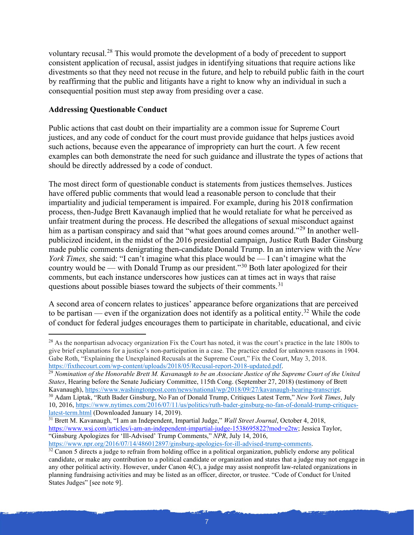voluntary recusal.[28](#page-6-0) This would promote the development of a body of precedent to support consistent application of recusal, assist judges in identifying situations that require actions like divestments so that they need not recuse in the future, and help to rebuild public faith in the court by reaffirming that the public and litigants have a right to know why an individual in such a consequential position must step away from presiding over a case.

### **Addressing Questionable Conduct**

Public actions that cast doubt on their impartiality are a common issue for Supreme Court justices, and any code of conduct for the court must provide guidance that helps justices avoid such actions, because even the appearance of impropriety can hurt the court. A few recent examples can both demonstrate the need for such guidance and illustrate the types of actions that should be directly addressed by a code of conduct.

The most direct form of questionable conduct is statements from justices themselves. Justices have offered public comments that would lead a reasonable person to conclude that their impartiality and judicial temperament is impaired. For example, during his 2018 confirmation process, then-Judge Brett Kavanaugh implied that he would retaliate for what he perceived as unfair treatment during the process. He described the allegations of sexual misconduct against him as a partisan conspiracy and said that "what goes around comes around."<sup>[29](#page-6-1)</sup> In another wellpublicized incident, in the midst of the 2016 presidential campaign, Justice Ruth Bader Ginsburg made public comments denigrating then-candidate Donald Trump. In an interview with the *New York Times,* she said: "I can't imagine what this place would be — I can't imagine what the country would be — with Donald Trump as our president."[30](#page-6-2) Both later apologized for their comments, but each instance underscores how justices can at times act in ways that raise questions about possible biases toward the subjects of their comments.<sup>[31](#page-6-3)</sup>

A second area of concern relates to justices' appearance before organizations that are perceived to be partisan — even if the organization does not identify as a political entity.<sup>[32](#page-6-4)</sup> While the code of conduct for federal judges encourages them to participate in charitable, educational, and civic

<span id="page-6-1"></span><sup>29</sup> *Nomination of the Honorable Brett M. Kavanaugh to be an Associate Justice of the Supreme Court of the United States*, Hearing before the Senate Judiciary Committee, 115th Cong. (September 27, 2018) (testimony of Brett Kavanaugh), [https://www.washingtonpost.com/news/national/wp/2018/09/27/kavanaugh-hearing-transcript.](https://www.washingtonpost.com/news/national/wp/2018/09/27/kavanaugh-hearing-transcript) <sup>30</sup> Adam Liptak, "Ruth Bader Ginsburg, No Fan of Donald Trump, Critiques Latest Term," *New York Times*, July

<span id="page-6-0"></span><sup>&</sup>lt;sup>28</sup> As the nonpartisan advocacy organization Fix the Court has noted, it was the court's practice in the late 1800s to give brief explanations for a justice's non-participation in a case. The practice ended for unknown reasons in 1904. Gabe Roth, "Explaining the Unexplained Recusals at the Supreme Court," Fix the Court, May 3, 2018. [https://fixthecourt.com/wp-content/uploads/2018/05/Recusal-report-2018-updated.pdf.](https://fixthecourt.com/wp-content/uploads/2018/05/Recusal-report-2018-updated.pdf)

<span id="page-6-2"></span><sup>10, 2016,</sup> [https://www.nytimes.com/2016/07/11/us/politics/ruth-bader-ginsburg-no-fan-of-donald-trump-critiques](https://www.nytimes.com/2016/07/11/us/politics/ruth-bader-ginsburg-no-fan-of-donald-trump-critiques-latest-term.html)[latest-term.html](https://www.nytimes.com/2016/07/11/us/politics/ruth-bader-ginsburg-no-fan-of-donald-trump-critiques-latest-term.html) (Downloaded January 14, 2019).

<span id="page-6-3"></span><sup>31</sup> Brett M. Kavanaugh, "I am an Independent, Impartial Judge," *Wall Street Journal*, October 4, 2018, [https://www.wsj.com/articles/i-am-an-independent-impartial-judge-1538695822?mod=e2tw;](https://www.wsj.com/articles/i-am-an-independent-impartial-judge-1538695822?mod=e2tw) Jessica Taylor, "Ginsburg Apologizes for 'Ill-Advised' Trump Comments," *NPR*, July 14, 2016,

[https://www.npr.org/2016/07/14/486012897/ginsburg-apologies-for-ill-advised-trump-comments.](https://www.npr.org/2016/07/14/486012897/ginsburg-apologies-for-ill-advised-trump-comments)

<span id="page-6-4"></span> $32$  Canon 5 directs a judge to refrain from holding office in a political organization, publicly endorse any political candidate, or make any contribution to a political candidate or organization and states that a judge may not engage in any other political activity. However, under Canon 4(C), a judge may assist nonprofit law-related organizations in planning fundraising activities and may be listed as an officer, director, or trustee. "Code of Conduct for United States Judges" [see note 9].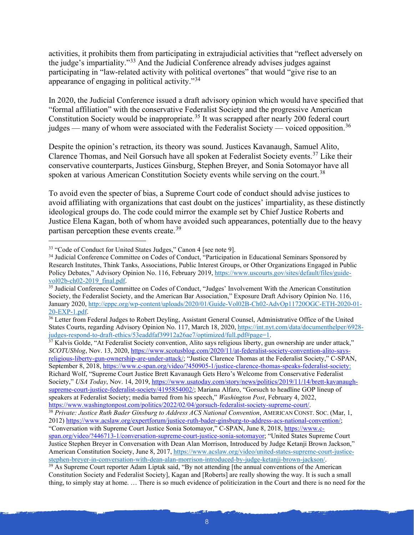activities, it prohibits them from participating in extrajudicial activities that "reflect adversely on the judge's impartiality."[33](#page-7-0) And the Judicial Conference already advises judges against participating in "law-related activity with political overtones" that would "give rise to an appearance of engaging in political activity."[34](#page-7-1)

In 2020, the Judicial Conference issued a draft advisory opinion which would have specified that "formal affiliation" with the conservative Federalist Society and the progressive American Constitution Society would be inappropriate.<sup>[35](#page-7-2)</sup> It was scrapped after nearly 200 federal court judges — many of whom were associated with the Federalist Society — voiced opposition.<sup>[36](#page-7-3)</sup>

Despite the opinion's retraction, its theory was sound. Justices Kavanaugh, Samuel Alito, Clarence Thomas, and Neil Gorsuch have all spoken at Federalist Society events.<sup>[37](#page-7-4)</sup> Like their conservative counterparts, Justices Ginsburg, Stephen Breyer, and Sonia Sotomayor have all spoken at various American Constitution Society events while serving on the court.<sup>[38](#page-7-5)</sup>

To avoid even the specter of bias, a Supreme Court code of conduct should advise justices to avoid affiliating with organizations that cast doubt on the justices' impartiality, as these distinctly ideological groups do. The code could mirror the example set by Chief Justice Roberts and Justice Elena Kagan, both of whom have avoided such appearances, potentially due to the heavy partisan perception these events create.<sup>[39](#page-7-6)</sup>

<span id="page-7-4"></span><sup>37</sup> Kalvis Golde, "At Federalist Society convention, Alito says religious liberty, gun ownership are under attack," *SCOTUSblog*, Nov. 13, 2020[, https://www.scotusblog.com/2020/11/at-federalist-society-convention-alito-says](https://www.scotusblog.com/2020/11/at-federalist-society-convention-alito-says-religious-liberty-gun-ownership-are-under-attack/)[religious-liberty-gun-ownership-are-under-attack/;](https://www.scotusblog.com/2020/11/at-federalist-society-convention-alito-says-religious-liberty-gun-ownership-are-under-attack/) "Justice Clarence Thomas at the Federalist Society," C-SPAN, September 8, 2018, [https://www.c-span.org/video/?450905-1/justice-clarence-thomas-speaks-federalist-society;](https://www.c-span.org/video/?450905-1/justice-clarence-thomas-speaks-federalist-society) Richard Wolf, "Supreme Court Justice Brett Kavanaugh Gets Hero's Welcome from Conservative Federalist Society," *USA Today*, Nov. 14, 2019[, https://www.usatoday.com/story/news/politics/2019/11/14/brett-kavanaugh](https://www.usatoday.com/story/news/politics/2019/11/14/brett-kavanaugh-supreme-court-justice-federalist-society/4195854002/)[supreme-court-justice-federalist-society/4195854002/;](https://www.usatoday.com/story/news/politics/2019/11/14/brett-kavanaugh-supreme-court-justice-federalist-society/4195854002/) Mariana Alfaro, "Gorsuch to headline GOP lineup of speakers at Federalist Society; media barred from his speech," *Washington Post*, February 4, 2022,

<span id="page-7-0"></span><sup>&</sup>lt;sup>33</sup> "Code of Conduct for United States Judges," Canon 4 [see note 9].

<span id="page-7-1"></span><sup>&</sup>lt;sup>34</sup> Judicial Conference Committee on Codes of Conduct, "Participation in Educational Seminars Sponsored by Research Institutes, Think Tanks, Associations, Public Interest Groups, or Other Organizations Engaged in Public Policy Debates," Advisory Opinion No. 116, February 2019[, https://www.uscourts.gov/sites/default/files/guide](https://www.uscourts.gov/sites/default/files/guide-vol02b-ch02-2019_final.pdf)[vol02b-ch02-2019\\_final.pdf.](https://www.uscourts.gov/sites/default/files/guide-vol02b-ch02-2019_final.pdf)

<span id="page-7-2"></span><sup>&</sup>lt;sup>35</sup> Judicial Conference Committee on Codes of Conduct, "Judges' Involvement With the American Constitution Society, the Federalist Society, and the American Bar Association," Exposure Draft Advisory Opinion No. 116, January 2020[, http://eppc.org/wp-content/uploads/2020/01/Guide-Vol02B-Ch02-AdvOp11720OGC-ETH-2020-01-](http://eppc.org/wp-content/uploads/2020/01/Guide-Vol02B-Ch02-AdvOp11720OGC-ETH-2020-01-20-EXP-1.pdf) [20-EXP-1.pdf.](http://eppc.org/wp-content/uploads/2020/01/Guide-Vol02B-Ch02-AdvOp11720OGC-ETH-2020-01-20-EXP-1.pdf)

<span id="page-7-3"></span><sup>&</sup>lt;sup>36</sup> Letter from Federal Judges to Robert Deyling, Assistant General Counsel, Administrative Office of the United States Courts, regarding Advisory Opinion No. 117, March 18, 2020[, https://int.nyt.com/data/documenthelper/6928](https://int.nyt.com/data/documenthelper/6928-judges-respond-to-draft-ethics/53eaddfaf39912a26ae7/optimized/full.pdf#page=1) [judges-respond-to-draft-ethics/53eaddfaf39912a26ae7/optimized/full.pdf#page=1.](https://int.nyt.com/data/documenthelper/6928-judges-respond-to-draft-ethics/53eaddfaf39912a26ae7/optimized/full.pdf#page=1)

[https://www.washingtonpost.com/politics/2022/02/04/gorsuch-federalist-society-supreme-court/.](https://www.washingtonpost.com/politics/2022/02/04/gorsuch-federalist-society-supreme-court/)

<span id="page-7-5"></span><sup>38</sup> *Private: Justice Ruth Bader Ginsburg to Address ACS National Convention*, AMERICAN CONST. SOC. (Mar, 1, 2012) [https://www.acslaw.org/expertforum/justice-ruth-bader-ginsburg-to-address-acs-national-convention/;](https://www.acslaw.org/expertforum/justice-ruth-bader-ginsburg-to-address-acs-national-convention/) "Conversation with Supreme Court Justice Sonia Sotomayor," C-SPAN, June 8, 2018[, https://www.c-](https://www.c-span.org/video/?446713-1/conversation-supreme-court-justice-sonia-sotomayor)

[span.org/video/?446713-1/conversation-supreme-court-justice-sonia-sotomayor;](https://www.c-span.org/video/?446713-1/conversation-supreme-court-justice-sonia-sotomayor) "United States Supreme Court Justice Stephen Breyer in Conversation with Dean Alan Morrison, Introduced by Judge Ketanji Brown Jackson," American Constitution Society, June 8, 2017[, https://www.acslaw.org/video/united-states-supreme-court-justice](https://www.acslaw.org/video/united-states-supreme-court-justice-stephen-breyer-in-conversation-with-dean-alan-morrison-introduced-by-judge-ketanji-brown-jackson/)[stephen-breyer-in-conversation-with-dean-alan-morrison-introduced-by-judge-ketanji-brown-jackson/.](https://www.acslaw.org/video/united-states-supreme-court-justice-stephen-breyer-in-conversation-with-dean-alan-morrison-introduced-by-judge-ketanji-brown-jackson/)

<span id="page-7-6"></span><sup>&</sup>lt;sup>39</sup> As Supreme Court reporter Adam Liptak said, "By not attending [the annual conventions of the American Constitution Society and Federalist Society], Kagan and [Roberts] are really showing the way. It is such a small thing, to simply stay at home. … There is so much evidence of politicization in the Court and there is no need for the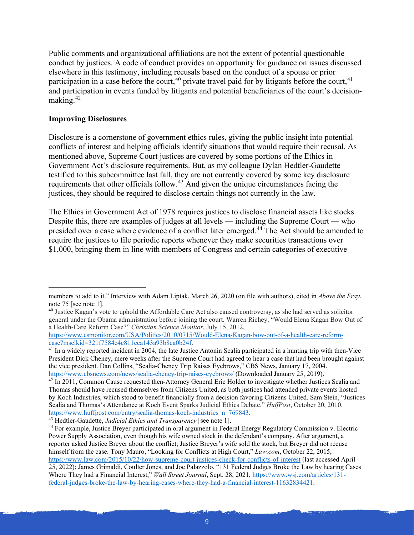Public comments and organizational affiliations are not the extent of potential questionable conduct by justices. A code of conduct provides an opportunity for guidance on issues discussed elsewhere in this testimony, including recusals based on the conduct of a spouse or prior participation in a case before the court,<sup>[40](#page-8-0)</sup> private travel paid for by litigants before the court,<sup>[41](#page-8-1)</sup> and participation in events funded by litigants and potential beneficiaries of the court's decisionmaking.[42](#page-8-2)

#### **Improving Disclosures**

Disclosure is a cornerstone of government ethics rules, giving the public insight into potential conflicts of interest and helping officials identify situations that would require their recusal. As mentioned above, Supreme Court justices are covered by some portions of the Ethics in Government Act's disclosure requirements. But, as my colleague Dylan Hedtler-Gaudette testified to this subcommittee last fall, they are not currently covered by some key disclosure requirements that other officials follow.[43](#page-8-3) And given the unique circumstances facing the justices, they should be required to disclose certain things not currently in the law.

The Ethics in Government Act of 1978 requires justices to disclose financial assets like stocks. Despite this, there are examples of judges at all levels — including the Supreme Court — who presided over a case where evidence of a conflict later emerged.[44](#page-8-4) The Act should be amended to require the justices to file periodic reports whenever they make securities transactions over \$1,000, bringing them in line with members of Congress and certain categories of executive

members to add to it." Interview with Adam Liptak, March 26, 2020 (on file with authors), cited in *Above the Fray*, note 75 [see note 1].

<span id="page-8-0"></span><sup>40</sup> Justice Kagan's vote to uphold the Affordable Care Act also caused controversy, as she had served as solicitor general under the Obama administration before joining the court. Warren Richey, "Would Elena Kagan Bow Out of a Health-Care Reform Case?" *Christian Science Monitor*, July 15, 2012,

[https://www.csmonitor.com/USA/Politics/2010/0715/Would-Elena-Kagan-bow-out-of-a-health-care-reform](https://www.csmonitor.com/USA/Politics/2010/0715/Would-Elena-Kagan-bow-out-of-a-health-care-reform-case?msclkid=321f7584c4c811eca143a93b8ca0b24f)[case?msclkid=321f7584c4c811eca143a93b8ca0b24f.](https://www.csmonitor.com/USA/Politics/2010/0715/Would-Elena-Kagan-bow-out-of-a-health-care-reform-case?msclkid=321f7584c4c811eca143a93b8ca0b24f)

<span id="page-8-1"></span> $\frac{41}{41}$  In a widely reported incident in 2004, the late Justice Antonin Scalia participated in a hunting trip with then-Vice President Dick Cheney, mere weeks after the Supreme Court had agreed to hear a case that had been brought against the vice president. Dan Collins, "Scalia-Cheney Trip Raises Eyebrows," CBS News, January 17, 2004.<br>https://www.cbsnews.com/news/scalia-cheney-trip-raises-eyebrows/ (Downloaded January 25, 2019).

<span id="page-8-2"></span> $\frac{42 \text{ In } 2011$ , Common Cause requested then-Attorney General Eric Holder to investigate whether Justices Scalia and Thomas should have recused themselves from Citizens United, as both justices had attended private events hosted by Koch Industries, which stood to benefit financially from a decision favoring Citizens United. Sam Stein, "Justices Scalia and Thomas's Attendance at Koch Event Sparks Judicial Ethics Debate," *HuffPost*, October 20, 2010, [https://www.huffpost.com/entry/scalia-thomas-koch-industries\\_n\\_769843.](https://www.huffpost.com/entry/scalia-thomas-koch-industries_n_769843)

<span id="page-8-3"></span><sup>43</sup> Hedtler-Gaudette, *Judicial Ethics and Transparency* [see note 1].

<span id="page-8-4"></span><sup>&</sup>lt;sup>44</sup> For example, Justice Breyer participated in oral argument in Federal Energy Regulatory Commission v. Electric Power Supply Association, even though his wife owned stock in the defendant's company. After argument, a reporter asked Justice Breyer about the conflict; Justice Breyer's wife sold the stock, but Breyer did not recuse himself from the case. Tony Mauro, "Looking for Conflicts at High Court," *Law.com*, October 22, 2015, <https://www.law.com/2015/10/22/how-supreme-court-justices-check-for-conflicts-of-interest> (last accessed April 25, 2022); James Grimaldi, Coulter Jones, and Joe Palazzolo, "131 Federal Judges Broke the Law by hearing Cases Where They had a Financial Interest," *Wall Street Journal*, Sept. 28, 2021, [https://www.wsj.com/articles/131](https://www.wsj.com/articles/131-federal-judges-broke-the-law-by-hearing-cases-where-they-had-a-financial-interest-11632834421) [federal-judges-broke-the-law-by-hearing-cases-where-they-had-a-financial-interest-11632834421.](https://www.wsj.com/articles/131-federal-judges-broke-the-law-by-hearing-cases-where-they-had-a-financial-interest-11632834421)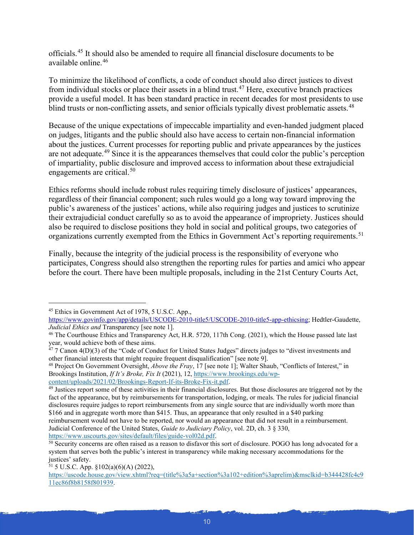officials.[45](#page-9-0) It should also be amended to require all financial disclosure documents to be available online  $46$ 

To minimize the likelihood of conflicts, a code of conduct should also direct justices to divest from individual stocks or place their assets in a blind trust.[47](#page-9-2) Here, executive branch practices provide a useful model. It has been standard practice in recent decades for most presidents to use blind trusts or non-conflicting assets, and senior officials typically divest problematic assets.<sup>[48](#page-9-3)</sup>

Because of the unique expectations of impeccable impartiality and even-handed judgment placed on judges, litigants and the public should also have access to certain non-financial information about the justices. Current processes for reporting public and private appearances by the justices are not adequate.[49](#page-9-4) Since it is the appearances themselves that could color the public's perception of impartiality, public disclosure and improved access to information about these extrajudicial engagements are critical. $50$ 

Ethics reforms should include robust rules requiring timely disclosure of justices' appearances, regardless of their financial component; such rules would go a long way toward improving the public's awareness of the justices' actions, while also requiring judges and justices to scrutinize their extrajudicial conduct carefully so as to avoid the appearance of impropriety. Justices should also be required to disclose positions they hold in social and political groups, two categories of organizations currently exempted from the Ethics in Government Act's reporting requirements.<sup>[51](#page-9-6)</sup>

Finally, because the integrity of the judicial process is the responsibility of everyone who participates, Congress should also strengthen the reporting rules for parties and amici who appear before the court. There have been multiple proposals, including in the 21st Century Courts Act,

<span id="page-9-3"></span><sup>48</sup> Project On Government Oversight, *Above the Fray*, 17 [see note 1]; Walter Shaub, "Conflicts of Interest," in Brookings Institution, *If It's Broke, Fix It* (2021), 12[, https://www.brookings.edu/wp](https://www.brookings.edu/wp-content/uploads/2021/02/Brookings-Report-If-its-Broke-Fix-it.pdf)[content/uploads/2021/02/Brookings-Report-If-its-Broke-Fix-it.pdf.](https://www.brookings.edu/wp-content/uploads/2021/02/Brookings-Report-If-its-Broke-Fix-it.pdf)

<span id="page-9-0"></span><sup>45</sup> Ethics in Government Act of 1978, 5 U.S.C. App.,

[https://www.govinfo.gov/app/details/USCODE-2010-title5/USCODE-2010-title5-app-ethicsing;](https://www.govinfo.gov/app/details/USCODE-2010-title5/USCODE-2010-title5-app-ethicsing) Hedtler-Gaudette, *Judicial Ethics and* Transparency [see note 1].

<span id="page-9-1"></span><sup>46</sup> The Courthouse Ethics and Transparency Act, H.R. 5720, 117th Cong. (2021), which the House passed late last year, would achieve both of these aims.

<span id="page-9-2"></span> $47$  7 Canon 4(D)(3) of the "Code of Conduct for United States Judges" directs judges to "divest investments and other financial interests that might require frequent disqualification" [see note 9].

<span id="page-9-4"></span><sup>&</sup>lt;sup>49</sup> Justices report some of these activities in their financial disclosures. But those disclosures are triggered not by the fact of the appearance, but by reimbursements for transportation, lodging, or meals. The rules for judicial financial disclosures require judges to report reimbursements from any single source that are individually worth more than \$166 and in aggregate worth more than \$415. Thus, an appearance that only resulted in a \$40 parking reimbursement would not have to be reported, nor would an appearance that did not result in a reimbursement. Judicial Conference of the United States, *Guide to Judiciary Policy*, vol. 2D, ch. 3 § 330, [https://www.uscourts.gov/sites/default/files/guide-vol02d.pdf.](https://www.uscourts.gov/sites/default/files/guide-vol02d.pdf)

<span id="page-9-5"></span><sup>50</sup> Security concerns are often raised as a reason to disfavor this sort of disclosure. POGO has long advocated for a system that serves both the public's interest in transparency while making necessary accommodations for the justices' safety.

<span id="page-9-6"></span> $51$  5 U.S.C. App.  $\S 102(a)(6)(A)$  (2022),

[https://uscode.house.gov/view.xhtml?req=\(title%3a5a+section%3a102+edition%3aprelim\)&msclkid=b344428fc4c9](https://uscode.house.gov/view.xhtml?req=(title%3a5a+section%3a102+edition%3aprelim)&msclkid=b344428fc4c911ec86f8b8158f801939) [11ec86f8b8158f801939.](https://uscode.house.gov/view.xhtml?req=(title%3a5a+section%3a102+edition%3aprelim)&msclkid=b344428fc4c911ec86f8b8158f801939)